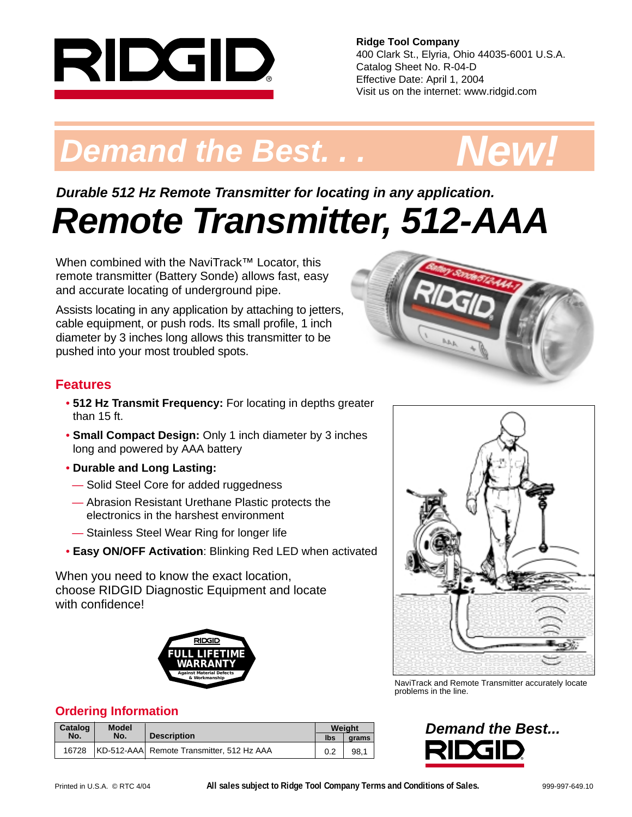

**Ridge Tool Company** 400 Clark St., Elyria, Ohio 44035-6001 U.S.A. Catalog Sheet No. R-04-D Effective Date: April 1, 2004 Visit us on the internet: www.ridgid.com

# **Demand the Best. . . . . . . . New!**



## **Remote Transmitter, 512-AAA Durable 512 Hz Remote Transmitter for locating in any application.**

When combined with the NaviTrack™ Locator, this remote transmitter (Battery Sonde) allows fast, easy and accurate locating of underground pipe.

Assists locating in any application by attaching to jetters, cable equipment, or push rods. Its small profile, 1 inch diameter by 3 inches long allows this transmitter to be pushed into your most troubled spots.

#### **Features**

- **512 Hz Transmit Frequency:** For locating in depths greater than 15 ft.
- **Small Compact Design:** Only 1 inch diameter by 3 inches long and powered by AAA battery
- **Durable and Long Lasting:**
- Solid Steel Core for added ruggedness
- Abrasion Resistant Urethane Plastic protects the electronics in the harshest environment
- Stainless Steel Wear Ring for longer life
- **Easy ON/OFF Activation**: Blinking Red LED when activated

When you need to know the exact location, choose RIDGID Diagnostic Equipment and locate with confidence!



#### **Ordering Information**

| Catalog | <b>Model</b> |                                           |     | Weight |  |
|---------|--------------|-------------------------------------------|-----|--------|--|
| No.     | No.          | <b>Description</b>                        | lbs | arams  |  |
| 16728   |              | KD-512-AAA Remote Transmitter, 512 Hz AAA | 0.2 | 98.1   |  |





NaviTrack and Remote Transmitter accurately locate problems in the line.